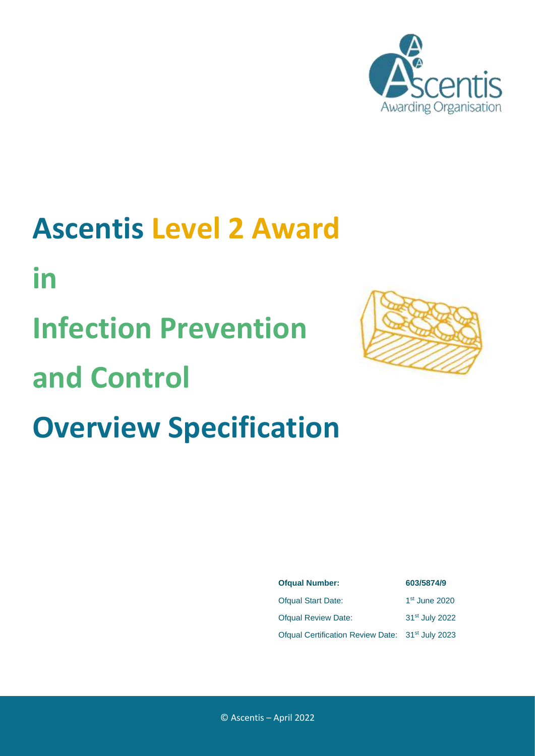

## **Ascentis Level 2 Award**

**in Infection Prevention and Control Overview Specification**



| <b>Ofqual Number:</b>                                        | 603/5874/9                 |  |  |
|--------------------------------------------------------------|----------------------------|--|--|
| <b>Ofqual Start Date:</b>                                    | $1st$ June 2020            |  |  |
| <b>Ofqual Review Date:</b>                                   | 31 <sup>st</sup> July 2022 |  |  |
| Ofqual Certification Review Date: 31 <sup>st</sup> July 2023 |                            |  |  |

© Ascentis – April 2022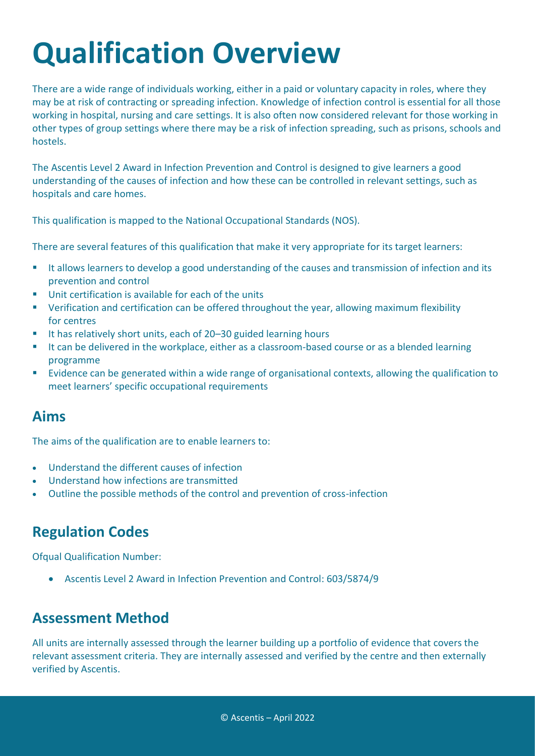## **Qualification Overview**

There are a wide range of individuals working, either in a paid or voluntary capacity in roles, where they may be at risk of contracting or spreading infection. Knowledge of infection control is essential for all those working in hospital, nursing and care settings. It is also often now considered relevant for those working in other types of group settings where there may be a risk of infection spreading, such as prisons, schools and hostels.

The Ascentis Level 2 Award in Infection Prevention and Control is designed to give learners a good understanding of the causes of infection and how these can be controlled in relevant settings, such as hospitals and care homes.

This qualification is mapped to the National Occupational Standards (NOS).

There are several features of this qualification that make it very appropriate for its target learners:

- It allows learners to develop a good understanding of the causes and transmission of infection and its prevention and control
- Unit certification is available for each of the units
- **•** Verification and certification can be offered throughout the year, allowing maximum flexibility for centres
- It has relatively short units, each of 20–30 guided learning hours
- It can be delivered in the workplace, either as a classroom-based course or as a blended learning programme
- Evidence can be generated within a wide range of organisational contexts, allowing the qualification to meet learners' specific occupational requirements

### **Aims**

The aims of the qualification are to enable learners to:

- Understand the different causes of infection
- Understand how infections are transmitted
- Outline the possible methods of the control and prevention of cross-infection

### **Regulation Codes**

Ofqual Qualification Number:

• Ascentis Level 2 Award in Infection Prevention and Control: 603/5874/9

### **Assessment Method**

All units are internally assessed through the learner building up a portfolio of evidence that covers the relevant assessment criteria. They are internally assessed and verified by the centre and then externally verified by Ascentis.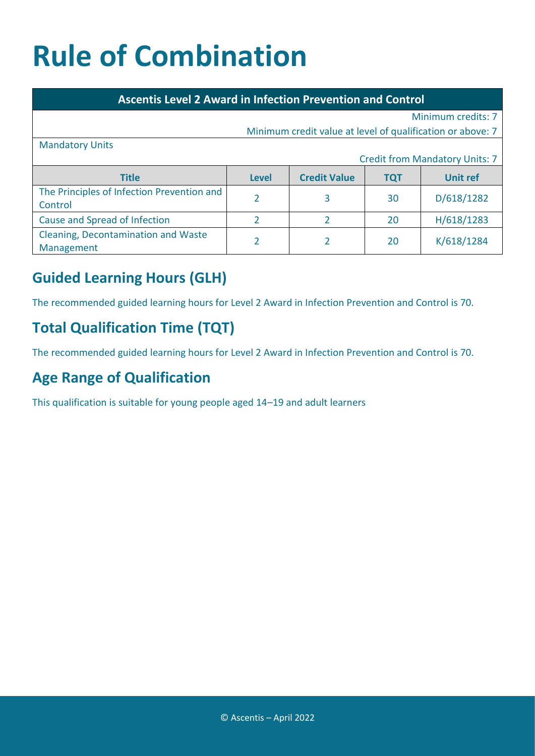# **Rule of Combination**

#### **Ascentis Level 2 Award in Infection Prevention and Control**

| Minimum credits: 7                                         |              |                     |            |                 |
|------------------------------------------------------------|--------------|---------------------|------------|-----------------|
| Minimum credit value at level of qualification or above: 7 |              |                     |            |                 |
| <b>Mandatory Units</b>                                     |              |                     |            |                 |
| <b>Credit from Mandatory Units: 7</b>                      |              |                     |            |                 |
| <b>Title</b>                                               | <b>Level</b> | <b>Credit Value</b> | <b>TQT</b> | <b>Unit ref</b> |
| The Principles of Infection Prevention and<br>Control      | 2            | 3                   | 30         | D/618/1282      |
| Cause and Spread of Infection                              |              | า                   | 20         | H/618/1283      |
| Cleaning, Decontamination and Waste<br>Management          |              | C.                  | 20         | K/618/1284      |

## **Guided Learning Hours (GLH)**

The recommended guided learning hours for Level 2 Award in Infection Prevention and Control is 70.

## **Total Qualification Time (TQT)**

The recommended guided learning hours for Level 2 Award in Infection Prevention and Control is 70.

## **Age Range of Qualification**

This qualification is suitable for young people aged 14–19 and adult learners